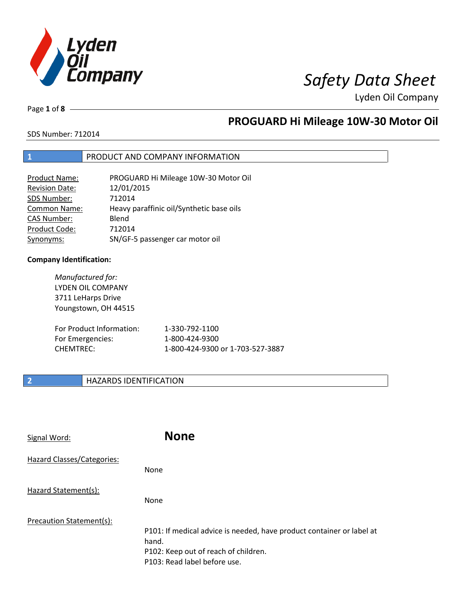

Page **1** of **8**

# **PROGUARD Hi Mileage 10W-30 Motor Oil**

SDS Number: 712014

## **1** PRODUCT AND COMPANY INFORMATION

| <b>Product Name:</b>  | PROGUARD Hi Mileage 10W-30 Motor Oil     |
|-----------------------|------------------------------------------|
| <b>Revision Date:</b> | 12/01/2015                               |
| SDS Number:           | 712014                                   |
| <b>Common Name:</b>   | Heavy paraffinic oil/Synthetic base oils |
| <b>CAS Number:</b>    | Blend                                    |
| Product Code:         | 712014                                   |
| Synonyms:             | SN/GF-5 passenger car motor oil          |

### **Company Identification:**

| Manufactured for:<br><b>LYDEN OIL COMPANY</b><br>3711 LeHarps Drive<br>Youngstown, OH 44515 |                                  |
|---------------------------------------------------------------------------------------------|----------------------------------|
| For Product Information:                                                                    | 1-330-792-1100                   |
| For Emergencies:                                                                            | 1-800-424-9300                   |
| <b>CHEMTREC:</b>                                                                            | 1-800-424-9300 or 1-703-527-3887 |

## **2 HAZARDS IDENTIFICATION**

| Signal Word:               | <b>None</b>                                                                                                                                            |
|----------------------------|--------------------------------------------------------------------------------------------------------------------------------------------------------|
| Hazard Classes/Categories: | <b>None</b>                                                                                                                                            |
| Hazard Statement(s):       | <b>None</b>                                                                                                                                            |
| Precaution Statement(s):   | P101: If medical advice is needed, have product container or label at<br>hand.<br>P102: Keep out of reach of children.<br>P103: Read label before use. |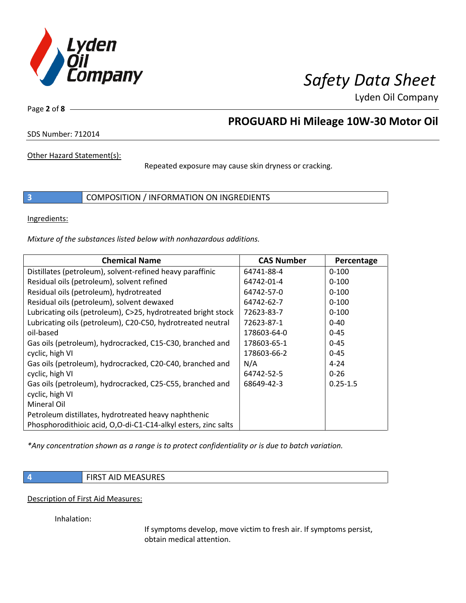

Page **2** of **8**

## **PROGUARD Hi Mileage 10W-30 Motor Oil**

SDS Number: 712014

Other Hazard Statement(s):

Repeated exposure may cause skin dryness or cracking.

**3** COMPOSITION / INFORMATION ON INGREDIENTS

Ingredients:

*Mixture of the substances listed below with nonhazardous additions.*

| <b>Chemical Name</b>                                           | <b>CAS Number</b> | Percentage   |
|----------------------------------------------------------------|-------------------|--------------|
| Distillates (petroleum), solvent-refined heavy paraffinic      | 64741-88-4        | $0 - 100$    |
| Residual oils (petroleum), solvent refined                     | 64742-01-4        | $0 - 100$    |
| Residual oils (petroleum), hydrotreated                        | 64742-57-0        | $0 - 100$    |
| Residual oils (petroleum), solvent dewaxed                     | 64742-62-7        | $0 - 100$    |
| Lubricating oils (petroleum), C>25, hydrotreated bright stock  | 72623-83-7        | $0 - 100$    |
| Lubricating oils (petroleum), C20-C50, hydrotreated neutral    | 72623-87-1        | $0 - 40$     |
| oil-based                                                      | 178603-64-0       | $0 - 45$     |
| Gas oils (petroleum), hydrocracked, C15-C30, branched and      | 178603-65-1       | $0 - 45$     |
| cyclic, high VI                                                | 178603-66-2       | $0 - 45$     |
| Gas oils (petroleum), hydrocracked, C20-C40, branched and      | N/A               | $4 - 24$     |
| cyclic, high VI                                                | 64742-52-5        | $0 - 26$     |
| Gas oils (petroleum), hydrocracked, C25-C55, branched and      | 68649-42-3        | $0.25 - 1.5$ |
| cyclic, high VI                                                |                   |              |
| Mineral Oil                                                    |                   |              |
| Petroleum distillates, hydrotreated heavy naphthenic           |                   |              |
| Phosphorodithioic acid, O,O-di-C1-C14-alkyl esters, zinc salts |                   |              |

*\*Any concentration shown as a range is to protect confidentiality or is due to batch variation.*

**4 FIRST AID MEASURES** 

Description of First Aid Measures:

Inhalation:

If symptoms develop, move victim to fresh air. If symptoms persist, obtain medical attention.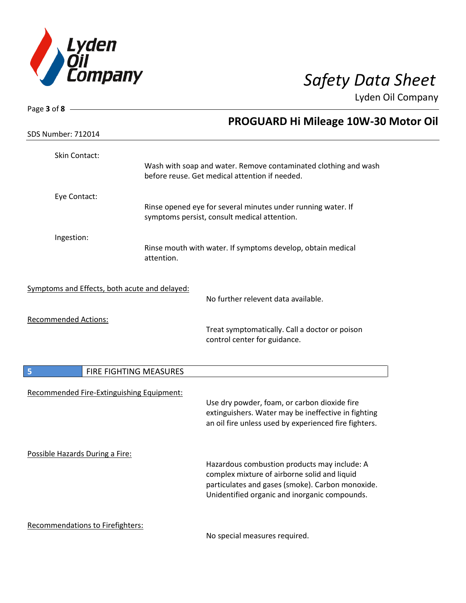

| Page 3 of 8 $-$                               |                        |                                                                                                                                                                                                   |
|-----------------------------------------------|------------------------|---------------------------------------------------------------------------------------------------------------------------------------------------------------------------------------------------|
| <b>SDS Number: 712014</b>                     |                        | <b>PROGUARD Hi Mileage 10W-30 Motor Oil</b>                                                                                                                                                       |
|                                               |                        |                                                                                                                                                                                                   |
| Skin Contact:                                 |                        | Wash with soap and water. Remove contaminated clothing and wash<br>before reuse. Get medical attention if needed.                                                                                 |
| Eye Contact:                                  |                        |                                                                                                                                                                                                   |
|                                               |                        | Rinse opened eye for several minutes under running water. If<br>symptoms persist, consult medical attention.                                                                                      |
| Ingestion:                                    |                        |                                                                                                                                                                                                   |
|                                               | attention.             | Rinse mouth with water. If symptoms develop, obtain medical                                                                                                                                       |
| Symptoms and Effects, both acute and delayed: |                        |                                                                                                                                                                                                   |
|                                               |                        | No further relevent data available.                                                                                                                                                               |
| <b>Recommended Actions:</b>                   |                        | Treat symptomatically. Call a doctor or poison<br>control center for guidance.                                                                                                                    |
| 5                                             | FIRE FIGHTING MEASURES |                                                                                                                                                                                                   |
| Recommended Fire-Extinguishing Equipment:     |                        | Use dry powder, foam, or carbon dioxide fire<br>extinguishers. Water may be ineffective in fighting<br>an oil fire unless used by experienced fire fighters.                                      |
| Possible Hazards During a Fire:               |                        | Hazardous combustion products may include: A<br>complex mixture of airborne solid and liquid<br>particulates and gases (smoke). Carbon monoxide.<br>Unidentified organic and inorganic compounds. |
| Recommendations to Firefighters:              |                        |                                                                                                                                                                                                   |

No special measures required.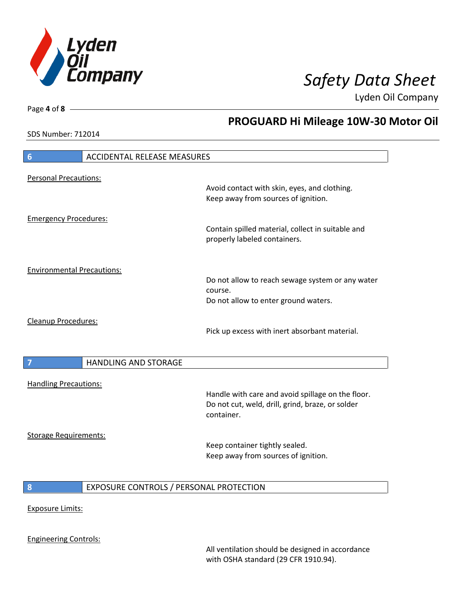

**PROGUARD Hi Mileage 10W-30 Motor Oil**

Lyden Oil Company

SDS Number: 712014

Page **4** of **8**

| 6                                 | <b>ACCIDENTAL RELEASE MEASURES</b>      |                                                                                     |
|-----------------------------------|-----------------------------------------|-------------------------------------------------------------------------------------|
| <b>Personal Precautions:</b>      |                                         | Avoid contact with skin, eyes, and clothing.<br>Keep away from sources of ignition. |
| <b>Emergency Procedures:</b>      |                                         | Contain spilled material, collect in suitable and<br>properly labeled containers.   |
| <b>Environmental Precautions:</b> |                                         | Do not allow to reach sewage system or any water                                    |
|                                   |                                         | course.<br>Do not allow to enter ground waters.                                     |
| Cleanup Procedures:               |                                         | Pick up excess with inert absorbant material.                                       |
| $\overline{7}$                    | <b>HANDLING AND STORAGE</b>             |                                                                                     |
| <b>Handling Precautions:</b>      |                                         | Handle with care and avoid spillage on the floor.                                   |
|                                   |                                         | Do not cut, weld, drill, grind, braze, or solder<br>container.                      |
| <b>Storage Requirements:</b>      |                                         | Keep container tightly sealed.<br>Keep away from sources of ignition.               |
| 8                                 | EXPOSURE CONTROLS / PERSONAL PROTECTION |                                                                                     |
| <b>Exposure Limits:</b>           |                                         |                                                                                     |
|                                   |                                         |                                                                                     |

All ventilation should be designed in accordance with OSHA standard (29 CFR 1910.94).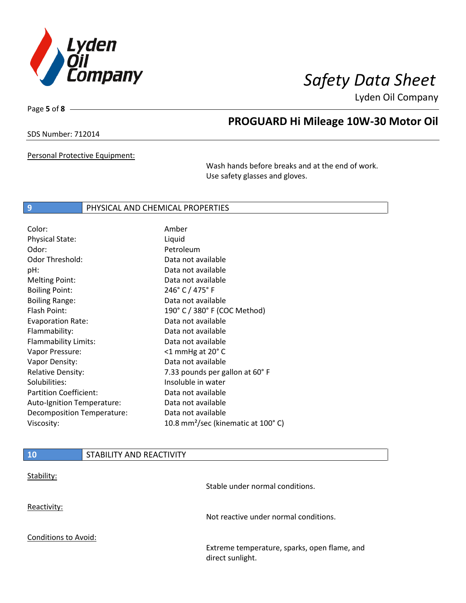

Page **5** of **8**

# **PROGUARD Hi Mileage 10W-30 Motor Oil**

SDS Number: 712014

Personal Protective Equipment:

Wash hands before breaks and at the end of work. Use safety glasses and gloves.

### **9** PHYSICAL AND CHEMICAL PROPERTIES

| Color:                        | Amber                                          |
|-------------------------------|------------------------------------------------|
| <b>Physical State:</b>        | Liquid                                         |
| Odor:                         | Petroleum                                      |
| <b>Odor Threshold:</b>        | Data not available                             |
| pH:                           | Data not available                             |
| <b>Melting Point:</b>         | Data not available                             |
| <b>Boiling Point:</b>         | 246° C / 475° F                                |
| <b>Boiling Range:</b>         | Data not available                             |
| Flash Point:                  | 190° C / 380° F (COC Method)                   |
| <b>Evaporation Rate:</b>      | Data not available                             |
| Flammability:                 | Data not available                             |
| Flammability Limits:          | Data not available                             |
| Vapor Pressure:               | $<$ 1 mmHg at 20 $^{\circ}$ C                  |
| Vapor Density:                | Data not available                             |
| <b>Relative Density:</b>      | 7.33 pounds per gallon at 60°F                 |
| Solubilities:                 | Insoluble in water                             |
| <b>Partition Coefficient:</b> | Data not available                             |
| Auto-Ignition Temperature:    | Data not available                             |
| Decomposition Temperature:    | Data not available                             |
| Viscosity:                    | 10.8 mm <sup>2</sup> /sec (kinematic at 100°C) |

| 10                          | STABILITY AND REACTIVITY |                                                                  |
|-----------------------------|--------------------------|------------------------------------------------------------------|
| Stability:                  |                          | Stable under normal conditions.                                  |
| Reactivity:                 |                          | Not reactive under normal conditions.                            |
| <b>Conditions to Avoid:</b> |                          | Extreme temperature, sparks, open flame, and<br>direct sunlight. |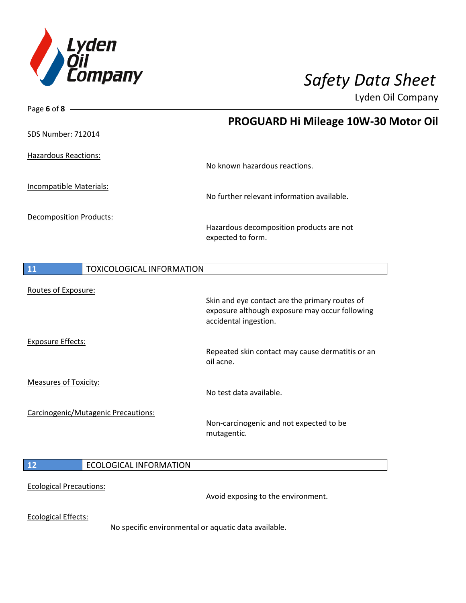

Page **6** of **8**

Lyden Oil Company

|                                                      | PROGUARD Hi Mileage 10W-30 Motor Oil                                    |
|------------------------------------------------------|-------------------------------------------------------------------------|
| <b>SDS Number: 712014</b>                            |                                                                         |
| <b>Hazardous Reactions:</b>                          |                                                                         |
|                                                      | No known hazardous reactions.                                           |
| Incompatible Materials:                              |                                                                         |
|                                                      | No further relevant information available.                              |
| Decomposition Products:                              |                                                                         |
|                                                      | Hazardous decomposition products are not<br>expected to form.           |
|                                                      |                                                                         |
| <b>TOXICOLOGICAL INFORMATION</b><br>11               |                                                                         |
| Routes of Exposure:                                  |                                                                         |
|                                                      | Skin and eye contact are the primary routes of                          |
|                                                      | exposure although exposure may occur following<br>accidental ingestion. |
| <b>Exposure Effects:</b>                             |                                                                         |
|                                                      | Repeated skin contact may cause dermatitis or an<br>oil acne.           |
| <b>Measures of Toxicity:</b>                         |                                                                         |
|                                                      | No test data available.                                                 |
| Carcinogenic/Mutagenic Precautions:                  |                                                                         |
|                                                      | Non-carcinogenic and not expected to be<br>mutagentic.                  |
|                                                      |                                                                         |
| <b>ECOLOGICAL INFORMATION</b><br>12                  |                                                                         |
| <b>Ecological Precautions:</b>                       |                                                                         |
|                                                      | Avoid exposing to the environment.                                      |
| <b>Ecological Effects:</b>                           |                                                                         |
| No specific environmental or aquatic data available. |                                                                         |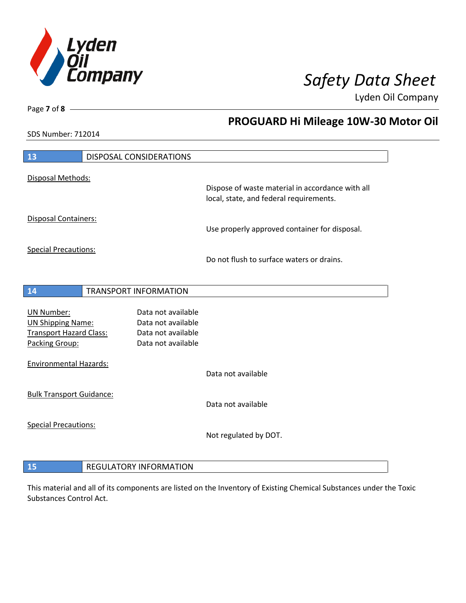

**PROGUARD Hi Mileage 10W-30 Motor Oil**

Lyden Oil Company

SDS Number: 712014

Page **7** of **8**

| 13                                                                                         | DISPOSAL CONSIDERATIONS                                                              |                                                                                             |
|--------------------------------------------------------------------------------------------|--------------------------------------------------------------------------------------|---------------------------------------------------------------------------------------------|
| Disposal Methods:                                                                          |                                                                                      |                                                                                             |
|                                                                                            |                                                                                      | Dispose of waste material in accordance with all<br>local, state, and federal requirements. |
| Disposal Containers:                                                                       |                                                                                      | Use properly approved container for disposal.                                               |
| <b>Special Precautions:</b>                                                                |                                                                                      | Do not flush to surface waters or drains.                                                   |
| 14                                                                                         | <b>TRANSPORT INFORMATION</b>                                                         |                                                                                             |
| UN Number:<br><b>UN Shipping Name:</b><br><b>Transport Hazard Class:</b><br>Packing Group: | Data not available<br>Data not available<br>Data not available<br>Data not available |                                                                                             |
| <b>Environmental Hazards:</b>                                                              |                                                                                      | Data not available                                                                          |
| <b>Bulk Transport Guidance:</b>                                                            |                                                                                      | Data not available                                                                          |
| <b>Special Precautions:</b>                                                                |                                                                                      | Not regulated by DOT.                                                                       |
| 15                                                                                         | <b>REGULATORY INFORMATION</b>                                                        |                                                                                             |

This material and all of its components are listed on the Inventory of Existing Chemical Substances under the Toxic Substances Control Act.